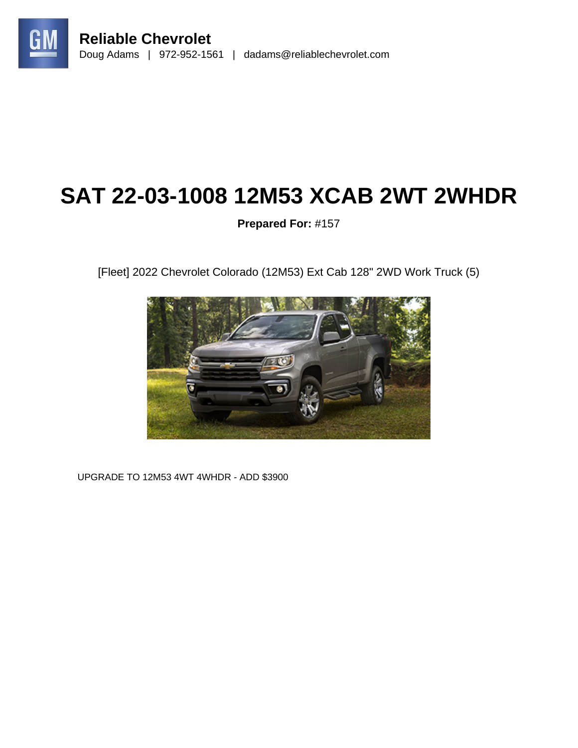

# **SAT 22-03-1008 12M53 XCAB 2WT 2WHDR**

**Prepared For:** #157

[Fleet] 2022 Chevrolet Colorado (12M53) Ext Cab 128" 2WD Work Truck (5)



UPGRADE TO 12M53 4WT 4WHDR - ADD \$3900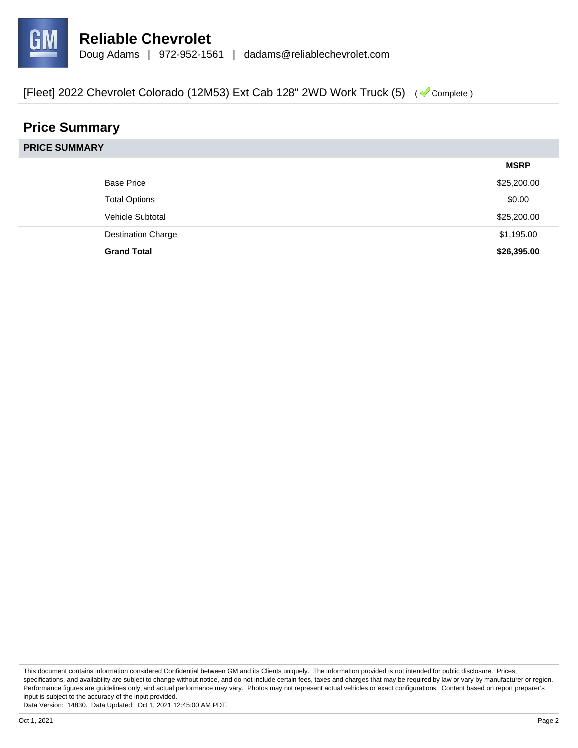

# **Price Summary**

|                           | <b>MSRP</b> |
|---------------------------|-------------|
| <b>Base Price</b>         | \$25,200.00 |
| <b>Total Options</b>      | \$0.00      |
| Vehicle Subtotal          | \$25,200.00 |
| <b>Destination Charge</b> | \$1,195.00  |
| <b>Grand Total</b>        | \$26,395.00 |

This document contains information considered Confidential between GM and its Clients uniquely. The information provided is not intended for public disclosure. Prices, specifications, and availability are subject to change without notice, and do not include certain fees, taxes and charges that may be required by law or vary by manufacturer or region. Performance figures are guidelines only, and actual performance may vary. Photos may not represent actual vehicles or exact configurations. Content based on report preparer's input is subject to the accuracy of the input provided.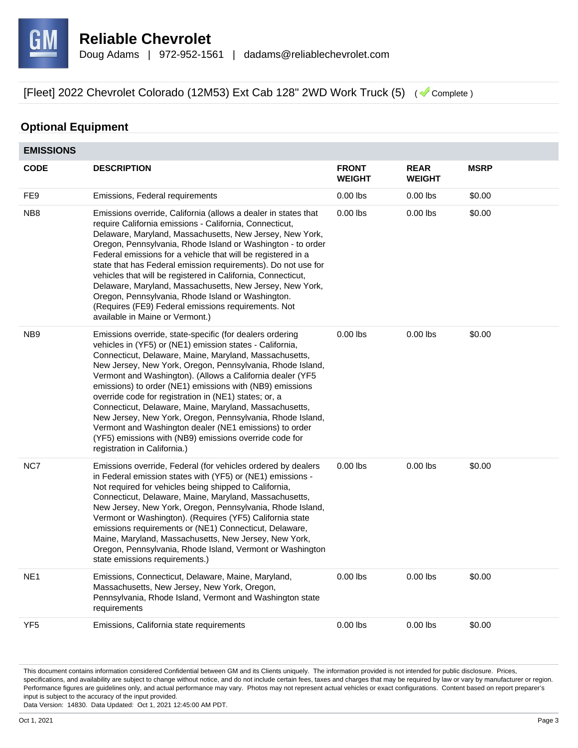

# **Optional Equipment**

| <b>EMISSIONS</b> |                                                                                                                                                                                                                                                                                                                                                                                                                                                                                                                                                                                                                                                                                                          |                               |                              |             |
|------------------|----------------------------------------------------------------------------------------------------------------------------------------------------------------------------------------------------------------------------------------------------------------------------------------------------------------------------------------------------------------------------------------------------------------------------------------------------------------------------------------------------------------------------------------------------------------------------------------------------------------------------------------------------------------------------------------------------------|-------------------------------|------------------------------|-------------|
| <b>CODE</b>      | <b>DESCRIPTION</b>                                                                                                                                                                                                                                                                                                                                                                                                                                                                                                                                                                                                                                                                                       | <b>FRONT</b><br><b>WEIGHT</b> | <b>REAR</b><br><b>WEIGHT</b> | <b>MSRP</b> |
| FE9              | Emissions, Federal requirements                                                                                                                                                                                                                                                                                                                                                                                                                                                                                                                                                                                                                                                                          | $0.00$ lbs                    | $0.00$ lbs                   | \$0.00      |
| NB <sub>8</sub>  | Emissions override, California (allows a dealer in states that<br>require California emissions - California, Connecticut,<br>Delaware, Maryland, Massachusetts, New Jersey, New York,<br>Oregon, Pennsylvania, Rhode Island or Washington - to order<br>Federal emissions for a vehicle that will be registered in a<br>state that has Federal emission requirements). Do not use for<br>vehicles that will be registered in California, Connecticut,<br>Delaware, Maryland, Massachusetts, New Jersey, New York,<br>Oregon, Pennsylvania, Rhode Island or Washington.<br>(Requires (FE9) Federal emissions requirements. Not<br>available in Maine or Vermont.)                                         | $0.00$ lbs                    | $0.00$ lbs                   | \$0.00      |
| NB <sub>9</sub>  | Emissions override, state-specific (for dealers ordering<br>vehicles in (YF5) or (NE1) emission states - California,<br>Connecticut, Delaware, Maine, Maryland, Massachusetts,<br>New Jersey, New York, Oregon, Pennsylvania, Rhode Island,<br>Vermont and Washington). (Allows a California dealer (YF5<br>emissions) to order (NE1) emissions with (NB9) emissions<br>override code for registration in (NE1) states; or, a<br>Connecticut, Delaware, Maine, Maryland, Massachusetts,<br>New Jersey, New York, Oregon, Pennsylvania, Rhode Island,<br>Vermont and Washington dealer (NE1 emissions) to order<br>(YF5) emissions with (NB9) emissions override code for<br>registration in California.) | $0.00$ lbs                    | $0.00$ lbs                   | \$0.00      |
| NC7              | Emissions override, Federal (for vehicles ordered by dealers<br>in Federal emission states with (YF5) or (NE1) emissions -<br>Not required for vehicles being shipped to California,<br>Connecticut, Delaware, Maine, Maryland, Massachusetts,<br>New Jersey, New York, Oregon, Pennsylvania, Rhode Island,<br>Vermont or Washington). (Requires (YF5) California state<br>emissions requirements or (NE1) Connecticut, Delaware,<br>Maine, Maryland, Massachusetts, New Jersey, New York,<br>Oregon, Pennsylvania, Rhode Island, Vermont or Washington<br>state emissions requirements.)                                                                                                                | $0.00$ lbs                    | $0.00$ lbs                   | \$0.00      |
| NE <sub>1</sub>  | Emissions, Connecticut, Delaware, Maine, Maryland,<br>Massachusetts, New Jersey, New York, Oregon,<br>Pennsylvania, Rhode Island, Vermont and Washington state<br>requirements                                                                                                                                                                                                                                                                                                                                                                                                                                                                                                                           | $0.00$ lbs                    | $0.00$ lbs                   | \$0.00      |
| YF <sub>5</sub>  | Emissions, California state requirements                                                                                                                                                                                                                                                                                                                                                                                                                                                                                                                                                                                                                                                                 | $0.00$ lbs                    | $0.00$ lbs                   | \$0.00      |

This document contains information considered Confidential between GM and its Clients uniquely. The information provided is not intended for public disclosure. Prices, specifications, and availability are subject to change without notice, and do not include certain fees, taxes and charges that may be required by law or vary by manufacturer or region. Performance figures are guidelines only, and actual performance may vary. Photos may not represent actual vehicles or exact configurations. Content based on report preparer's input is subject to the accuracy of the input provided.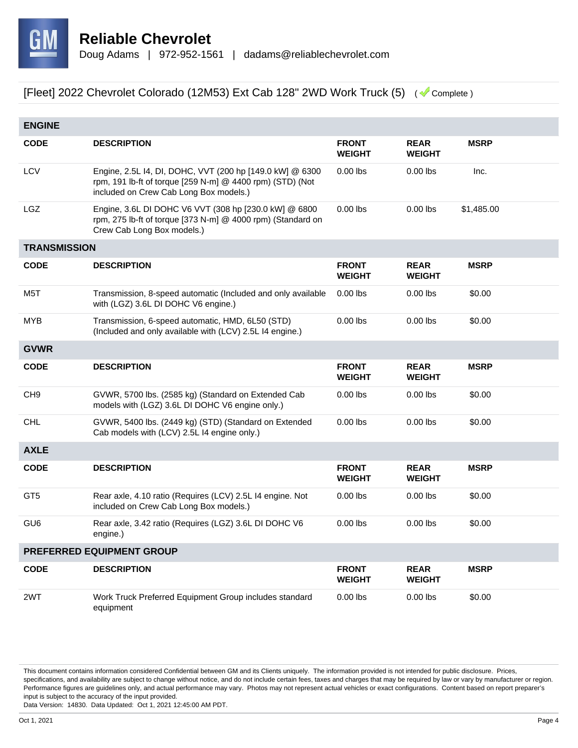

| <b>ENGINE</b>       |                                                                                                                                                                 |                               |                              |             |
|---------------------|-----------------------------------------------------------------------------------------------------------------------------------------------------------------|-------------------------------|------------------------------|-------------|
| <b>CODE</b>         | <b>DESCRIPTION</b>                                                                                                                                              | <b>FRONT</b><br><b>WEIGHT</b> | <b>REAR</b><br><b>WEIGHT</b> | <b>MSRP</b> |
| <b>LCV</b>          | Engine, 2.5L I4, DI, DOHC, VVT (200 hp [149.0 kW] @ 6300<br>rpm, 191 lb-ft of torque [259 N-m] @ 4400 rpm) (STD) (Not<br>included on Crew Cab Long Box models.) | $0.00$ lbs                    | $0.00$ lbs                   | Inc.        |
| <b>LGZ</b>          | Engine, 3.6L DI DOHC V6 VVT (308 hp [230.0 kW] @ 6800<br>rpm, 275 lb-ft of torque [373 N-m] @ 4000 rpm) (Standard on<br>Crew Cab Long Box models.)              | $0.00$ lbs                    | $0.00$ lbs                   | \$1,485.00  |
| <b>TRANSMISSION</b> |                                                                                                                                                                 |                               |                              |             |
| <b>CODE</b>         | <b>DESCRIPTION</b>                                                                                                                                              | <b>FRONT</b><br><b>WEIGHT</b> | <b>REAR</b><br><b>WEIGHT</b> | <b>MSRP</b> |
| M5T                 | Transmission, 8-speed automatic (Included and only available<br>with (LGZ) 3.6L DI DOHC V6 engine.)                                                             | $0.00$ lbs                    | $0.00$ lbs                   | \$0.00      |
| <b>MYB</b>          | Transmission, 6-speed automatic, HMD, 6L50 (STD)<br>(Included and only available with (LCV) 2.5L I4 engine.)                                                    | $0.00$ lbs                    | $0.00$ lbs                   | \$0.00      |
| <b>GVWR</b>         |                                                                                                                                                                 |                               |                              |             |
| <b>CODE</b>         | <b>DESCRIPTION</b>                                                                                                                                              | <b>FRONT</b><br><b>WEIGHT</b> | <b>REAR</b><br><b>WEIGHT</b> | <b>MSRP</b> |
| CH <sub>9</sub>     | GVWR, 5700 lbs. (2585 kg) (Standard on Extended Cab<br>models with (LGZ) 3.6L DI DOHC V6 engine only.)                                                          | $0.00$ lbs                    | $0.00$ lbs                   | \$0.00      |
| <b>CHL</b>          | GVWR, 5400 lbs. (2449 kg) (STD) (Standard on Extended<br>Cab models with (LCV) 2.5L I4 engine only.)                                                            | $0.00$ lbs                    | $0.00$ lbs                   | \$0.00      |
| <b>AXLE</b>         |                                                                                                                                                                 |                               |                              |             |
| <b>CODE</b>         | <b>DESCRIPTION</b>                                                                                                                                              | <b>FRONT</b><br><b>WEIGHT</b> | <b>REAR</b><br><b>WEIGHT</b> | <b>MSRP</b> |
| GT <sub>5</sub>     | Rear axle, 4.10 ratio (Requires (LCV) 2.5L I4 engine. Not<br>included on Crew Cab Long Box models.)                                                             | $0.00$ lbs                    | $0.00$ lbs                   | \$0.00      |
| GU <sub>6</sub>     | Rear axle, 3.42 ratio (Requires (LGZ) 3.6L DI DOHC V6<br>engine.)                                                                                               | $0.00$ lbs                    | $0.00$ lbs                   | \$0.00      |
|                     | PREFERRED EQUIPMENT GROUP                                                                                                                                       |                               |                              |             |
| <b>CODE</b>         | <b>DESCRIPTION</b>                                                                                                                                              | <b>FRONT</b><br><b>WEIGHT</b> | <b>REAR</b><br><b>WEIGHT</b> | <b>MSRP</b> |
| 2WT                 | Work Truck Preferred Equipment Group includes standard<br>equipment                                                                                             | $0.00$ lbs                    | $0.00$ lbs                   | \$0.00      |

This document contains information considered Confidential between GM and its Clients uniquely. The information provided is not intended for public disclosure. Prices, specifications, and availability are subject to change without notice, and do not include certain fees, taxes and charges that may be required by law or vary by manufacturer or region. Performance figures are guidelines only, and actual performance may vary. Photos may not represent actual vehicles or exact configurations. Content based on report preparer's input is subject to the accuracy of the input provided.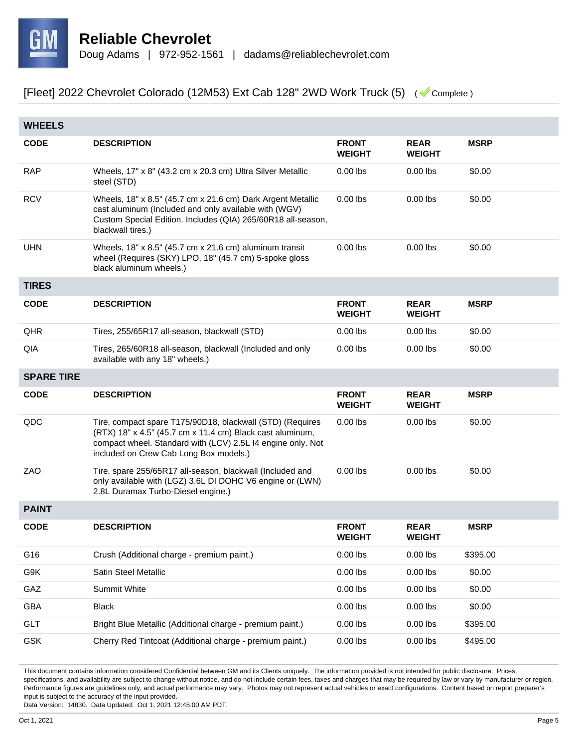

| <b>WHEELS</b>     |                                                                                                                                                                                                                                 |                               |                              |             |
|-------------------|---------------------------------------------------------------------------------------------------------------------------------------------------------------------------------------------------------------------------------|-------------------------------|------------------------------|-------------|
| <b>CODE</b>       | <b>DESCRIPTION</b>                                                                                                                                                                                                              | <b>FRONT</b><br><b>WEIGHT</b> | <b>REAR</b><br><b>WEIGHT</b> | <b>MSRP</b> |
| <b>RAP</b>        | Wheels, 17" x 8" (43.2 cm x 20.3 cm) Ultra Silver Metallic<br>steel (STD)                                                                                                                                                       | $0.00$ lbs                    | $0.00$ lbs                   | \$0.00      |
| <b>RCV</b>        | Wheels, 18" x 8.5" (45.7 cm x 21.6 cm) Dark Argent Metallic<br>cast aluminum (Included and only available with (WGV)<br>Custom Special Edition. Includes (QIA) 265/60R18 all-season,<br>blackwall tires.)                       | $0.00$ lbs                    | $0.00$ lbs                   | \$0.00      |
| <b>UHN</b>        | Wheels, 18" x 8.5" (45.7 cm x 21.6 cm) aluminum transit<br>wheel (Requires (SKY) LPO, 18" (45.7 cm) 5-spoke gloss<br>black aluminum wheels.)                                                                                    | $0.00$ lbs                    | $0.00$ lbs                   | \$0.00      |
| <b>TIRES</b>      |                                                                                                                                                                                                                                 |                               |                              |             |
| <b>CODE</b>       | <b>DESCRIPTION</b>                                                                                                                                                                                                              | <b>FRONT</b><br><b>WEIGHT</b> | <b>REAR</b><br><b>WEIGHT</b> | <b>MSRP</b> |
| QHR               | Tires, 255/65R17 all-season, blackwall (STD)                                                                                                                                                                                    | $0.00$ lbs                    | $0.00$ lbs                   | \$0.00      |
| QIA               | Tires, 265/60R18 all-season, blackwall (Included and only<br>available with any 18" wheels.)                                                                                                                                    | $0.00$ lbs                    | $0.00$ lbs                   | \$0.00      |
| <b>SPARE TIRE</b> |                                                                                                                                                                                                                                 |                               |                              |             |
| <b>CODE</b>       | <b>DESCRIPTION</b>                                                                                                                                                                                                              | <b>FRONT</b><br><b>WEIGHT</b> | <b>REAR</b><br><b>WEIGHT</b> | <b>MSRP</b> |
| QDC               | Tire, compact spare T175/90D18, blackwall (STD) (Requires<br>(RTX) 18" x 4.5" (45.7 cm x 11.4 cm) Black cast aluminum,<br>compact wheel. Standard with (LCV) 2.5L I4 engine only. Not<br>included on Crew Cab Long Box models.) | $0.00$ lbs                    | $0.00$ lbs                   | \$0.00      |
| ZAO               | Tire, spare 255/65R17 all-season, blackwall (Included and<br>only available with (LGZ) 3.6L DI DOHC V6 engine or (LWN)<br>2.8L Duramax Turbo-Diesel engine.)                                                                    | $0.00$ lbs                    | $0.00$ lbs                   | \$0.00      |
| <b>PAINT</b>      |                                                                                                                                                                                                                                 |                               |                              |             |
| <b>CODE</b>       | <b>DESCRIPTION</b>                                                                                                                                                                                                              | <b>FRONT</b><br><b>WEIGHT</b> | <b>REAR</b><br>WEIGHT        | <b>MSRP</b> |
| G16               | Crush (Additional charge - premium paint.)                                                                                                                                                                                      | $0.00$ lbs                    | $0.00$ lbs                   | \$395.00    |
| G9K               | Satin Steel Metallic                                                                                                                                                                                                            | $0.00$ lbs                    | $0.00$ lbs                   | \$0.00      |
| GAZ               | Summit White                                                                                                                                                                                                                    | $0.00$ lbs                    | $0.00$ lbs                   | \$0.00      |
| GBA               | <b>Black</b>                                                                                                                                                                                                                    | $0.00$ lbs                    | $0.00$ lbs                   | \$0.00      |
| GLT               | Bright Blue Metallic (Additional charge - premium paint.)                                                                                                                                                                       | $0.00$ lbs                    | $0.00$ lbs                   | \$395.00    |
| <b>GSK</b>        | Cherry Red Tintcoat (Additional charge - premium paint.)                                                                                                                                                                        | $0.00$ lbs                    | $0.00$ lbs                   | \$495.00    |

This document contains information considered Confidential between GM and its Clients uniquely. The information provided is not intended for public disclosure. Prices, specifications, and availability are subject to change without notice, and do not include certain fees, taxes and charges that may be required by law or vary by manufacturer or region. Performance figures are guidelines only, and actual performance may vary. Photos may not represent actual vehicles or exact configurations. Content based on report preparer's input is subject to the accuracy of the input provided.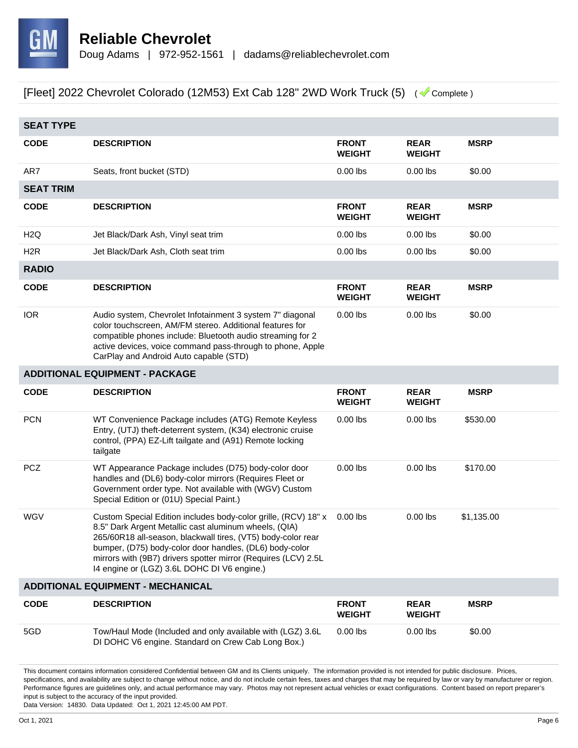

| <b>SEAT TYPE</b>                      |                                                                                                                                                                                                                                                                                                                                                                     |                               |                              |             |  |
|---------------------------------------|---------------------------------------------------------------------------------------------------------------------------------------------------------------------------------------------------------------------------------------------------------------------------------------------------------------------------------------------------------------------|-------------------------------|------------------------------|-------------|--|
| <b>CODE</b>                           | <b>DESCRIPTION</b>                                                                                                                                                                                                                                                                                                                                                  | <b>FRONT</b><br><b>WEIGHT</b> | <b>REAR</b><br><b>WEIGHT</b> | <b>MSRP</b> |  |
| AR7                                   | Seats, front bucket (STD)                                                                                                                                                                                                                                                                                                                                           | $0.00$ lbs                    | $0.00$ lbs                   | \$0.00      |  |
| <b>SEAT TRIM</b>                      |                                                                                                                                                                                                                                                                                                                                                                     |                               |                              |             |  |
| <b>CODE</b>                           | <b>DESCRIPTION</b>                                                                                                                                                                                                                                                                                                                                                  | <b>FRONT</b><br><b>WEIGHT</b> | <b>REAR</b><br><b>WEIGHT</b> | <b>MSRP</b> |  |
| H <sub>2</sub> Q                      | Jet Black/Dark Ash, Vinyl seat trim                                                                                                                                                                                                                                                                                                                                 | $0.00$ lbs                    | $0.00$ lbs                   | \$0.00      |  |
| H <sub>2</sub> R                      | Jet Black/Dark Ash, Cloth seat trim                                                                                                                                                                                                                                                                                                                                 | $0.00$ lbs                    | $0.00$ lbs                   | \$0.00      |  |
| <b>RADIO</b>                          |                                                                                                                                                                                                                                                                                                                                                                     |                               |                              |             |  |
| <b>CODE</b>                           | <b>DESCRIPTION</b>                                                                                                                                                                                                                                                                                                                                                  | <b>FRONT</b><br><b>WEIGHT</b> | <b>REAR</b><br><b>WEIGHT</b> | <b>MSRP</b> |  |
| <b>IOR</b>                            | Audio system, Chevrolet Infotainment 3 system 7" diagonal<br>color touchscreen, AM/FM stereo. Additional features for<br>compatible phones include: Bluetooth audio streaming for 2<br>active devices, voice command pass-through to phone, Apple<br>CarPlay and Android Auto capable (STD)                                                                         | $0.00$ lbs                    | $0.00$ lbs                   | \$0.00      |  |
| <b>ADDITIONAL EQUIPMENT - PACKAGE</b> |                                                                                                                                                                                                                                                                                                                                                                     |                               |                              |             |  |
|                                       |                                                                                                                                                                                                                                                                                                                                                                     |                               |                              |             |  |
| <b>CODE</b>                           | <b>DESCRIPTION</b>                                                                                                                                                                                                                                                                                                                                                  | <b>FRONT</b><br><b>WEIGHT</b> | <b>REAR</b><br><b>WEIGHT</b> | <b>MSRP</b> |  |
| <b>PCN</b>                            | WT Convenience Package includes (ATG) Remote Keyless<br>Entry, (UTJ) theft-deterrent system, (K34) electronic cruise<br>control, (PPA) EZ-Lift tailgate and (A91) Remote locking<br>tailgate                                                                                                                                                                        | $0.00$ lbs                    | $0.00$ lbs                   | \$530.00    |  |
| <b>PCZ</b>                            | WT Appearance Package includes (D75) body-color door<br>handles and (DL6) body-color mirrors (Requires Fleet or<br>Government order type. Not available with (WGV) Custom<br>Special Edition or (01U) Special Paint.)                                                                                                                                               | $0.00$ lbs                    | $0.00$ lbs                   | \$170.00    |  |
| WGV                                   | Custom Special Edition includes body-color grille, (RCV) 18" x<br>8.5" Dark Argent Metallic cast aluminum wheels, (QIA)<br>265/60R18 all-season, blackwall tires, (VT5) body-color rear<br>bumper, (D75) body-color door handles, (DL6) body-color<br>mirrors with (9B7) drivers spotter mirror (Requires (LCV) 2.5L<br>14 engine or (LGZ) 3.6L DOHC DI V6 engine.) | $0.00$ lbs                    | $0.00$ lbs                   | \$1,135.00  |  |
|                                       | <b>ADDITIONAL EQUIPMENT - MECHANICAL</b>                                                                                                                                                                                                                                                                                                                            |                               |                              |             |  |
| <b>CODE</b>                           | <b>DESCRIPTION</b>                                                                                                                                                                                                                                                                                                                                                  | <b>FRONT</b><br><b>WEIGHT</b> | <b>REAR</b><br><b>WEIGHT</b> | <b>MSRP</b> |  |

This document contains information considered Confidential between GM and its Clients uniquely. The information provided is not intended for public disclosure. Prices, specifications, and availability are subject to change without notice, and do not include certain fees, taxes and charges that may be required by law or vary by manufacturer or region. Performance figures are guidelines only, and actual performance may vary. Photos may not represent actual vehicles or exact configurations. Content based on report preparer's input is subject to the accuracy of the input provided.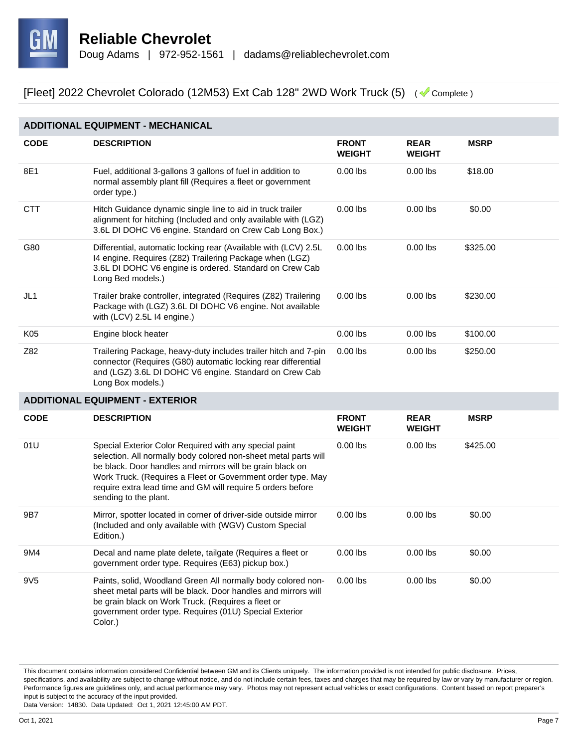

#### **ADDITIONAL EQUIPMENT - MECHANICAL CODE DESCRIPTION FRONT WEIGHT REAR WEIGHT MSRP** 8E1 Fuel, additional 3-gallons 3 gallons of fuel in addition to normal assembly plant fill (Requires a fleet or government order type.) 0.00 lbs 0.00 lbs \$18.00 CTT Hitch Guidance dynamic single line to aid in truck trailer alignment for hitching (Included and only available with (LGZ) 3.6L DI DOHC V6 engine. Standard on Crew Cab Long Box.) 0.00 lbs 0.00 lbs \$0.00 G80 Differential, automatic locking rear (Available with (LCV) 2.5L I4 engine. Requires (Z82) Trailering Package when (LGZ) 3.6L DI DOHC V6 engine is ordered. Standard on Crew Cab Long Bed models.) 0.00 lbs 0.00 lbs \$325.00 JL1 Trailer brake controller, integrated (Requires (Z82) Trailering Package with (LGZ) 3.6L DI DOHC V6 engine. Not available with (LCV) 2.5L I4 engine.) 0.00 lbs 0.00 lbs \$230.00 K05 Engine block heater 0.00 lbs 0.00 lbs \$100.00 Z82 Trailering Package, heavy-duty includes trailer hitch and 7-pin connector (Requires (G80) automatic locking rear differential and (LGZ) 3.6L DI DOHC V6 engine. Standard on Crew Cab Long Box models.) 0.00 lbs 0.00 lbs \$250.00 **ADDITIONAL EQUIPMENT - EXTERIOR CODE DESCRIPTION FRONT WEIGHT REAR WEIGHT MSRP** 01U Special Exterior Color Required with any special paint selection. All normally body colored non-sheet metal parts will be black. Door handles and mirrors will be grain black on Work Truck. (Requires a Fleet or Government order type. May require extra lead time and GM will require 5 orders before sending to the plant. 0.00 lbs 0.00 lbs \$425.00 9B7 Mirror, spotter located in corner of driver-side outside mirror (Included and only available with (WGV) Custom Special Edition.) 0.00 lbs 0.00 lbs \$0.00 9M4 Decal and name plate delete, tailgate (Requires a fleet or government order type. Requires (E63) pickup box.) 0.00 lbs 0.00 lbs \$0.00 9V5 Paints, solid, Woodland Green All normally body colored nonsheet metal parts will be black. Door handles and mirrors will be grain black on Work Truck. (Requires a fleet or government order type. Requires (01U) Special Exterior Color.) 0.00 lbs 0.00 lbs \$0.00

This document contains information considered Confidential between GM and its Clients uniquely. The information provided is not intended for public disclosure. Prices, specifications, and availability are subject to change without notice, and do not include certain fees, taxes and charges that may be required by law or vary by manufacturer or region. Performance figures are guidelines only, and actual performance may vary. Photos may not represent actual vehicles or exact configurations. Content based on report preparer's input is subject to the accuracy of the input provided.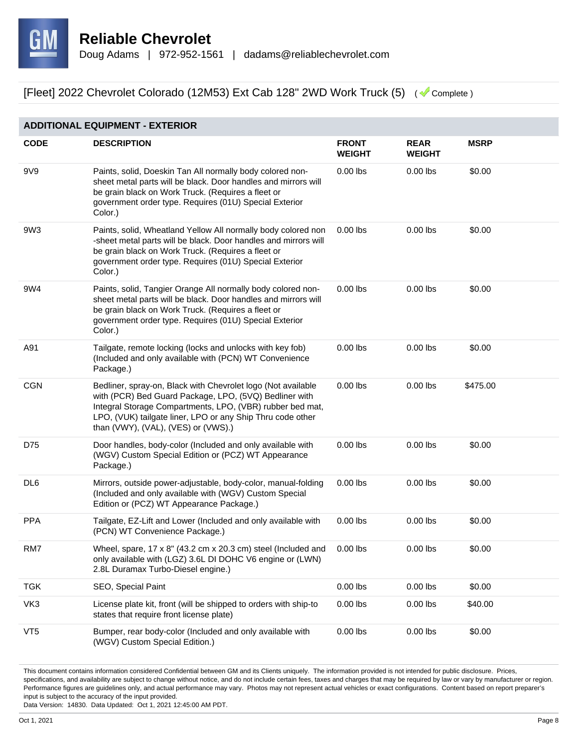

| <b>ADDITIONAL EQUIPMENT - EXTERIOR</b> |                                                                                                                                                                                                                                                                                          |                               |                              |             |  |
|----------------------------------------|------------------------------------------------------------------------------------------------------------------------------------------------------------------------------------------------------------------------------------------------------------------------------------------|-------------------------------|------------------------------|-------------|--|
| <b>CODE</b>                            | <b>DESCRIPTION</b>                                                                                                                                                                                                                                                                       | <b>FRONT</b><br><b>WEIGHT</b> | <b>REAR</b><br><b>WEIGHT</b> | <b>MSRP</b> |  |
| 9V9                                    | Paints, solid, Doeskin Tan All normally body colored non-<br>sheet metal parts will be black. Door handles and mirrors will<br>be grain black on Work Truck. (Requires a fleet or<br>government order type. Requires (01U) Special Exterior<br>Color.)                                   | $0.00$ lbs                    | $0.00$ lbs                   | \$0.00      |  |
| 9W3                                    | Paints, solid, Wheatland Yellow All normally body colored non<br>-sheet metal parts will be black. Door handles and mirrors will<br>be grain black on Work Truck. (Requires a fleet or<br>government order type. Requires (01U) Special Exterior<br>Color.)                              | $0.00$ lbs                    | $0.00$ lbs                   | \$0.00      |  |
| 9W4                                    | Paints, solid, Tangier Orange All normally body colored non-<br>sheet metal parts will be black. Door handles and mirrors will<br>be grain black on Work Truck. (Requires a fleet or<br>government order type. Requires (01U) Special Exterior<br>Color.)                                | $0.00$ lbs                    | $0.00$ lbs                   | \$0.00      |  |
| A91                                    | Tailgate, remote locking (locks and unlocks with key fob)<br>(Included and only available with (PCN) WT Convenience<br>Package.)                                                                                                                                                         | $0.00$ lbs                    | $0.00$ lbs                   | \$0.00      |  |
| <b>CGN</b>                             | Bedliner, spray-on, Black with Chevrolet logo (Not available<br>with (PCR) Bed Guard Package, LPO, (5VQ) Bedliner with<br>Integral Storage Compartments, LPO, (VBR) rubber bed mat,<br>LPO, (VUK) tailgate liner, LPO or any Ship Thru code other<br>than (VWY), (VAL), (VES) or (VWS).) | $0.00$ lbs                    | $0.00$ lbs                   | \$475.00    |  |
| D75                                    | Door handles, body-color (Included and only available with<br>(WGV) Custom Special Edition or (PCZ) WT Appearance<br>Package.)                                                                                                                                                           | $0.00$ lbs                    | $0.00$ lbs                   | \$0.00      |  |
| DL <sub>6</sub>                        | Mirrors, outside power-adjustable, body-color, manual-folding<br>(Included and only available with (WGV) Custom Special<br>Edition or (PCZ) WT Appearance Package.)                                                                                                                      | $0.00$ lbs                    | $0.00$ lbs                   | \$0.00      |  |
| <b>PPA</b>                             | Tailgate, EZ-Lift and Lower (Included and only available with<br>(PCN) WT Convenience Package.)                                                                                                                                                                                          | $0.00$ lbs                    | $0.00$ lbs                   | \$0.00      |  |
| RM7                                    | Wheel, spare, 17 x 8" (43.2 cm x 20.3 cm) steel (Included and<br>only available with (LGZ) 3.6L DI DOHC V6 engine or (LWN)<br>2.8L Duramax Turbo-Diesel engine.)                                                                                                                         | $0.00$ lbs                    | $0.00$ lbs                   | \$0.00      |  |
| <b>TGK</b>                             | SEO, Special Paint                                                                                                                                                                                                                                                                       | $0.00$ lbs                    | $0.00$ lbs                   | \$0.00      |  |
| VK3                                    | License plate kit, front (will be shipped to orders with ship-to<br>states that require front license plate)                                                                                                                                                                             | $0.00$ lbs                    | $0.00$ lbs                   | \$40.00     |  |
| VT <sub>5</sub>                        | Bumper, rear body-color (Included and only available with<br>(WGV) Custom Special Edition.)                                                                                                                                                                                              | $0.00$ lbs                    | $0.00$ lbs                   | \$0.00      |  |

This document contains information considered Confidential between GM and its Clients uniquely. The information provided is not intended for public disclosure. Prices, specifications, and availability are subject to change without notice, and do not include certain fees, taxes and charges that may be required by law or vary by manufacturer or region. Performance figures are guidelines only, and actual performance may vary. Photos may not represent actual vehicles or exact configurations. Content based on report preparer's input is subject to the accuracy of the input provided.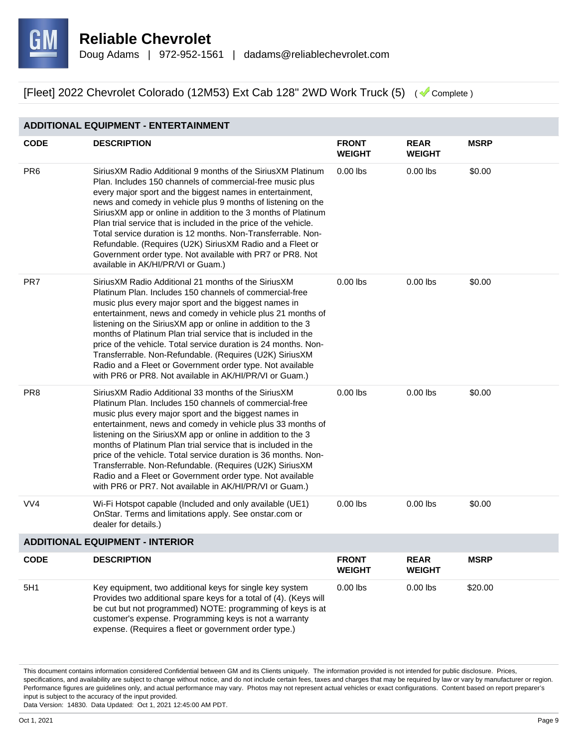

#### **ADDITIONAL EQUIPMENT - ENTERTAINMENT CODE DESCRIPTION FRONT WEIGHT REAR WEIGHT MSRP** PR6 SiriusXM Radio Additional 9 months of the SiriusXM Platinum Plan. Includes 150 channels of commercial-free music plus every major sport and the biggest names in entertainment, news and comedy in vehicle plus 9 months of listening on the SiriusXM app or online in addition to the 3 months of Platinum Plan trial service that is included in the price of the vehicle. Total service duration is 12 months. Non-Transferrable. Non-Refundable. (Requires (U2K) SiriusXM Radio and a Fleet or Government order type. Not available with PR7 or PR8. Not available in AK/HI/PR/VI or Guam.) 0.00 lbs 0.00 lbs \$0.00 PR7 SiriusXM Radio Additional 21 months of the SiriusXM Platinum Plan. Includes 150 channels of commercial-free music plus every major sport and the biggest names in entertainment, news and comedy in vehicle plus 21 months of listening on the SiriusXM app or online in addition to the 3 months of Platinum Plan trial service that is included in the price of the vehicle. Total service duration is 24 months. Non-Transferrable. Non-Refundable. (Requires (U2K) SiriusXM Radio and a Fleet or Government order type. Not available with PR6 or PR8. Not available in AK/HI/PR/VI or Guam.) 0.00 lbs 0.00 lbs \$0.00 PR8 SiriusXM Radio Additional 33 months of the SiriusXM Platinum Plan. Includes 150 channels of commercial-free music plus every major sport and the biggest names in entertainment, news and comedy in vehicle plus 33 months of listening on the SiriusXM app or online in addition to the 3 months of Platinum Plan trial service that is included in the price of the vehicle. Total service duration is 36 months. Non-Transferrable. Non-Refundable. (Requires (U2K) SiriusXM Radio and a Fleet or Government order type. Not available with PR6 or PR7. Not available in AK/HI/PR/VI or Guam.) 0.00 lbs 0.00 lbs \$0.00 VV4 Wi-Fi Hotspot capable (Included and only available (UE1) OnStar. Terms and limitations apply. See onstar.com or dealer for details.) 0.00 lbs 0.00 lbs \$0.00 **ADDITIONAL EQUIPMENT - INTERIOR CODE DESCRIPTION FRONT WEIGHT REAR WEIGHT MSRP** 5H1 Key equipment, two additional keys for single key system Provides two additional spare keys for a total of (4). (Keys will be cut but not programmed) NOTE: programming of keys is at customer's expense. Programming keys is not a warranty expense. (Requires a fleet or government order type.) 0.00 lbs 0.00 lbs \$20.00

This document contains information considered Confidential between GM and its Clients uniquely. The information provided is not intended for public disclosure. Prices, specifications, and availability are subject to change without notice, and do not include certain fees, taxes and charges that may be required by law or vary by manufacturer or region. Performance figures are guidelines only, and actual performance may vary. Photos may not represent actual vehicles or exact configurations. Content based on report preparer's input is subject to the accuracy of the input provided.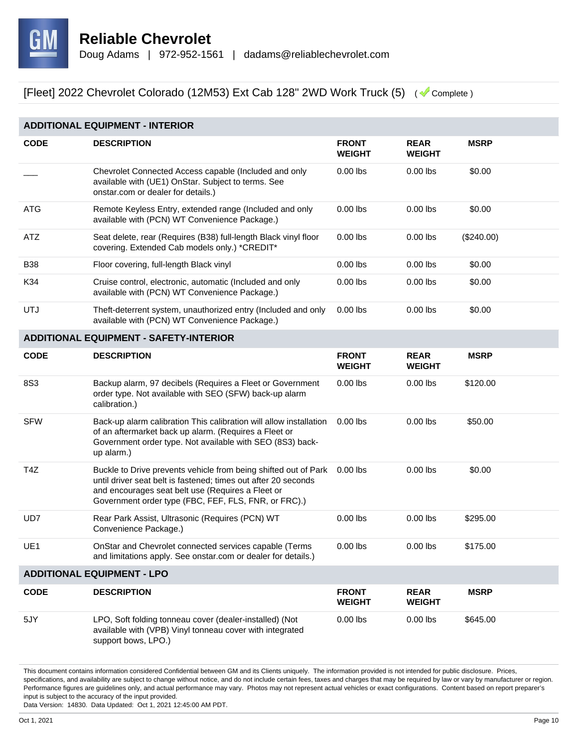

| <b>ADDITIONAL EQUIPMENT - INTERIOR</b> |                                                                                                                                                                                                                                                |                               |                              |              |  |
|----------------------------------------|------------------------------------------------------------------------------------------------------------------------------------------------------------------------------------------------------------------------------------------------|-------------------------------|------------------------------|--------------|--|
| <b>CODE</b>                            | <b>DESCRIPTION</b>                                                                                                                                                                                                                             | <b>FRONT</b><br><b>WEIGHT</b> | <b>REAR</b><br><b>WEIGHT</b> | <b>MSRP</b>  |  |
|                                        | Chevrolet Connected Access capable (Included and only<br>available with (UE1) OnStar. Subject to terms. See<br>onstar.com or dealer for details.)                                                                                              | $0.00$ lbs                    | $0.00$ lbs                   | \$0.00       |  |
| <b>ATG</b>                             | Remote Keyless Entry, extended range (Included and only<br>available with (PCN) WT Convenience Package.)                                                                                                                                       | $0.00$ lbs                    | $0.00$ lbs                   | \$0.00       |  |
| ATZ                                    | Seat delete, rear (Requires (B38) full-length Black vinyl floor<br>covering. Extended Cab models only.) *CREDIT*                                                                                                                               | $0.00$ lbs                    | $0.00$ lbs                   | $(\$240.00)$ |  |
| <b>B38</b>                             | Floor covering, full-length Black vinyl                                                                                                                                                                                                        | $0.00$ lbs                    | $0.00$ lbs                   | \$0.00       |  |
| K34                                    | Cruise control, electronic, automatic (Included and only<br>available with (PCN) WT Convenience Package.)                                                                                                                                      | $0.00$ lbs                    | $0.00$ lbs                   | \$0.00       |  |
| <b>UTJ</b>                             | Theft-deterrent system, unauthorized entry (Included and only<br>available with (PCN) WT Convenience Package.)                                                                                                                                 | $0.00$ lbs                    | $0.00$ lbs                   | \$0.00       |  |
|                                        | <b>ADDITIONAL EQUIPMENT - SAFETY-INTERIOR</b>                                                                                                                                                                                                  |                               |                              |              |  |
| <b>CODE</b>                            | <b>DESCRIPTION</b>                                                                                                                                                                                                                             | <b>FRONT</b><br><b>WEIGHT</b> | <b>REAR</b><br><b>WEIGHT</b> | <b>MSRP</b>  |  |
| <b>8S3</b>                             | Backup alarm, 97 decibels (Requires a Fleet or Government<br>order type. Not available with SEO (SFW) back-up alarm<br>calibration.)                                                                                                           | $0.00$ lbs                    | $0.00$ lbs                   | \$120.00     |  |
| <b>SFW</b>                             | Back-up alarm calibration This calibration will allow installation<br>of an aftermarket back up alarm. (Requires a Fleet or<br>Government order type. Not available with SEO (8S3) back-<br>up alarm.)                                         | $0.00$ lbs                    | $0.00$ lbs                   | \$50.00      |  |
| T <sub>4</sub> Z                       | Buckle to Drive prevents vehicle from being shifted out of Park<br>until driver seat belt is fastened; times out after 20 seconds<br>and encourages seat belt use (Requires a Fleet or<br>Government order type (FBC, FEF, FLS, FNR, or FRC).) | $0.00$ lbs                    | $0.00$ lbs                   | \$0.00       |  |
| UD7                                    | Rear Park Assist, Ultrasonic (Requires (PCN) WT<br>Convenience Package.)                                                                                                                                                                       | $0.00$ lbs                    | $0.00$ lbs                   | \$295.00     |  |
| UE1                                    | OnStar and Chevrolet connected services capable (Terms<br>and limitations apply. See onstar.com or dealer for details.)                                                                                                                        | $0.00$ lbs                    | $0.00$ lbs                   | \$175.00     |  |
|                                        | <b>ADDITIONAL EQUIPMENT - LPO</b>                                                                                                                                                                                                              |                               |                              |              |  |
| <b>CODE</b>                            | <b>DESCRIPTION</b>                                                                                                                                                                                                                             | <b>FRONT</b><br><b>WEIGHT</b> | <b>REAR</b><br><b>WEIGHT</b> | <b>MSRP</b>  |  |
| 5JY                                    | LPO, Soft folding tonneau cover (dealer-installed) (Not<br>available with (VPB) Vinyl tonneau cover with integrated<br>support bows, LPO.)                                                                                                     | $0.00$ lbs                    | $0.00$ lbs                   | \$645.00     |  |

This document contains information considered Confidential between GM and its Clients uniquely. The information provided is not intended for public disclosure. Prices, specifications, and availability are subject to change without notice, and do not include certain fees, taxes and charges that may be required by law or vary by manufacturer or region. Performance figures are guidelines only, and actual performance may vary. Photos may not represent actual vehicles or exact configurations. Content based on report preparer's input is subject to the accuracy of the input provided.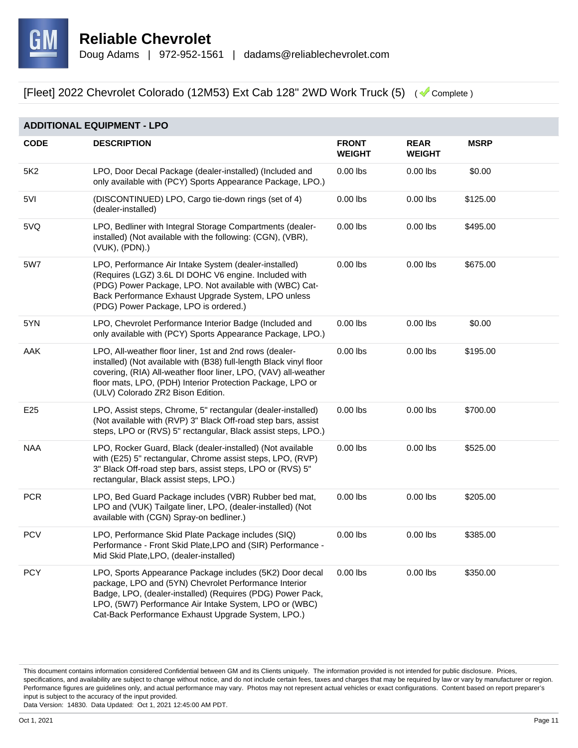

| <b>ADDITIONAL EQUIPMENT - LPO</b> |                                                                                                                                                                                                                                                                                                     |                               |                              |             |  |
|-----------------------------------|-----------------------------------------------------------------------------------------------------------------------------------------------------------------------------------------------------------------------------------------------------------------------------------------------------|-------------------------------|------------------------------|-------------|--|
| <b>CODE</b>                       | <b>DESCRIPTION</b>                                                                                                                                                                                                                                                                                  | <b>FRONT</b><br><b>WEIGHT</b> | <b>REAR</b><br><b>WEIGHT</b> | <b>MSRP</b> |  |
| 5K <sub>2</sub>                   | LPO, Door Decal Package (dealer-installed) (Included and<br>only available with (PCY) Sports Appearance Package, LPO.)                                                                                                                                                                              | $0.00$ lbs                    | $0.00$ lbs                   | \$0.00      |  |
| 5VI                               | (DISCONTINUED) LPO, Cargo tie-down rings (set of 4)<br>(dealer-installed)                                                                                                                                                                                                                           | $0.00$ lbs                    | $0.00$ lbs                   | \$125.00    |  |
| 5VQ                               | LPO, Bedliner with Integral Storage Compartments (dealer-<br>installed) (Not available with the following: (CGN), (VBR),<br>$(VUK)$ , $(PDN)$ .)                                                                                                                                                    | $0.00$ lbs                    | $0.00$ lbs                   | \$495.00    |  |
| 5W7                               | LPO, Performance Air Intake System (dealer-installed)<br>(Requires (LGZ) 3.6L DI DOHC V6 engine. Included with<br>(PDG) Power Package, LPO. Not available with (WBC) Cat-<br>Back Performance Exhaust Upgrade System, LPO unless<br>(PDG) Power Package, LPO is ordered.)                           | $0.00$ lbs                    | $0.00$ lbs                   | \$675.00    |  |
| 5YN                               | LPO, Chevrolet Performance Interior Badge (Included and<br>only available with (PCY) Sports Appearance Package, LPO.)                                                                                                                                                                               | $0.00$ lbs                    | $0.00$ lbs                   | \$0.00      |  |
| AAK                               | LPO, All-weather floor liner, 1st and 2nd rows (dealer-<br>installed) (Not available with (B38) full-length Black vinyl floor<br>covering, (RIA) All-weather floor liner, LPO, (VAV) all-weather<br>floor mats, LPO, (PDH) Interior Protection Package, LPO or<br>(ULV) Colorado ZR2 Bison Edition. | $0.00$ lbs                    | $0.00$ lbs                   | \$195.00    |  |
| E <sub>25</sub>                   | LPO, Assist steps, Chrome, 5" rectangular (dealer-installed)<br>(Not available with (RVP) 3" Black Off-road step bars, assist<br>steps, LPO or (RVS) 5" rectangular, Black assist steps, LPO.)                                                                                                      | $0.00$ lbs                    | $0.00$ lbs                   | \$700.00    |  |
| <b>NAA</b>                        | LPO, Rocker Guard, Black (dealer-installed) (Not available<br>with (E25) 5" rectangular, Chrome assist steps, LPO, (RVP)<br>3" Black Off-road step bars, assist steps, LPO or (RVS) 5"<br>rectangular, Black assist steps, LPO.)                                                                    | $0.00$ lbs                    | $0.00$ lbs                   | \$525.00    |  |
| <b>PCR</b>                        | LPO, Bed Guard Package includes (VBR) Rubber bed mat,<br>LPO and (VUK) Tailgate liner, LPO, (dealer-installed) (Not<br>available with (CGN) Spray-on bedliner.)                                                                                                                                     | $0.00$ lbs                    | $0.00$ lbs                   | \$205.00    |  |
| <b>PCV</b>                        | LPO, Performance Skid Plate Package includes (SIQ)<br>Performance - Front Skid Plate, LPO and (SIR) Performance -<br>Mid Skid Plate, LPO, (dealer-installed)                                                                                                                                        | $0.00$ lbs                    | $0.00$ lbs                   | \$385.00    |  |
| <b>PCY</b>                        | LPO, Sports Appearance Package includes (5K2) Door decal<br>package, LPO and (5YN) Chevrolet Performance Interior<br>Badge, LPO, (dealer-installed) (Requires (PDG) Power Pack,<br>LPO, (5W7) Performance Air Intake System, LPO or (WBC)<br>Cat-Back Performance Exhaust Upgrade System, LPO.)     | $0.00$ lbs                    | $0.00$ lbs                   | \$350.00    |  |

This document contains information considered Confidential between GM and its Clients uniquely. The information provided is not intended for public disclosure. Prices, specifications, and availability are subject to change without notice, and do not include certain fees, taxes and charges that may be required by law or vary by manufacturer or region. Performance figures are guidelines only, and actual performance may vary. Photos may not represent actual vehicles or exact configurations. Content based on report preparer's input is subject to the accuracy of the input provided.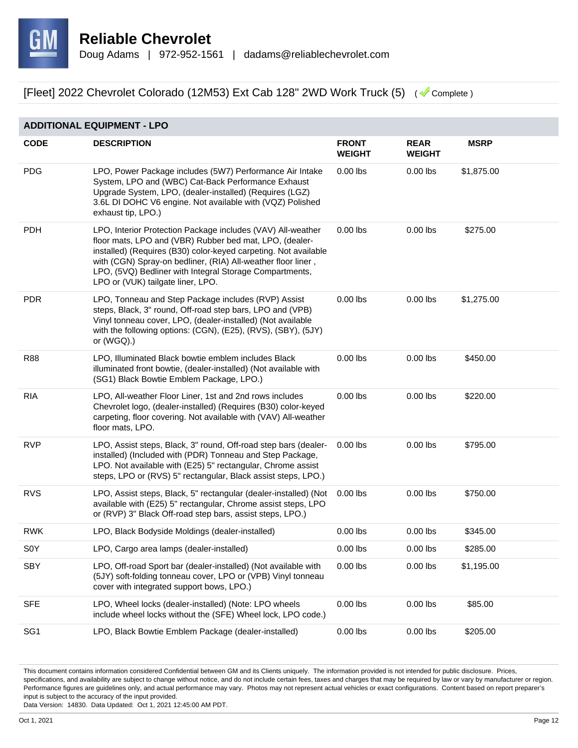

| <b>ADDITIONAL EQUIPMENT - LPO</b> |                                                                                                                                                                                                                                                                                                                                                           |                               |                              |             |  |  |
|-----------------------------------|-----------------------------------------------------------------------------------------------------------------------------------------------------------------------------------------------------------------------------------------------------------------------------------------------------------------------------------------------------------|-------------------------------|------------------------------|-------------|--|--|
| <b>CODE</b>                       | <b>DESCRIPTION</b>                                                                                                                                                                                                                                                                                                                                        | <b>FRONT</b><br><b>WEIGHT</b> | <b>REAR</b><br><b>WEIGHT</b> | <b>MSRP</b> |  |  |
| <b>PDG</b>                        | LPO, Power Package includes (5W7) Performance Air Intake<br>System, LPO and (WBC) Cat-Back Performance Exhaust<br>Upgrade System, LPO, (dealer-installed) (Requires (LGZ)<br>3.6L DI DOHC V6 engine. Not available with (VQZ) Polished<br>exhaust tip, LPO.)                                                                                              | $0.00$ lbs                    | $0.00$ lbs                   | \$1,875.00  |  |  |
| <b>PDH</b>                        | LPO, Interior Protection Package includes (VAV) All-weather<br>floor mats, LPO and (VBR) Rubber bed mat, LPO, (dealer-<br>installed) (Requires (B30) color-keyed carpeting. Not available<br>with (CGN) Spray-on bedliner, (RIA) All-weather floor liner,<br>LPO, (5VQ) Bedliner with Integral Storage Compartments,<br>LPO or (VUK) tailgate liner, LPO. | $0.00$ lbs                    | $0.00$ lbs                   | \$275.00    |  |  |
| <b>PDR</b>                        | LPO, Tonneau and Step Package includes (RVP) Assist<br>steps, Black, 3" round, Off-road step bars, LPO and (VPB)<br>Vinyl tonneau cover, LPO, (dealer-installed) (Not available<br>with the following options: (CGN), (E25), (RVS), (SBY), (5JY)<br>or (WGQ).)                                                                                            | $0.00$ lbs                    | $0.00$ lbs                   | \$1,275.00  |  |  |
| <b>R88</b>                        | LPO, Illuminated Black bowtie emblem includes Black<br>illuminated front bowtie, (dealer-installed) (Not available with<br>(SG1) Black Bowtie Emblem Package, LPO.)                                                                                                                                                                                       | $0.00$ lbs                    | $0.00$ lbs                   | \$450.00    |  |  |
| <b>RIA</b>                        | LPO, All-weather Floor Liner, 1st and 2nd rows includes<br>Chevrolet logo, (dealer-installed) (Requires (B30) color-keyed<br>carpeting, floor covering. Not available with (VAV) All-weather<br>floor mats, LPO.                                                                                                                                          | $0.00$ lbs                    | $0.00$ lbs                   | \$220.00    |  |  |
| <b>RVP</b>                        | LPO, Assist steps, Black, 3" round, Off-road step bars (dealer-<br>installed) (Included with (PDR) Tonneau and Step Package,<br>LPO. Not available with (E25) 5" rectangular, Chrome assist<br>steps, LPO or (RVS) 5" rectangular, Black assist steps, LPO.)                                                                                              | $0.00$ lbs                    | $0.00$ lbs                   | \$795.00    |  |  |
| <b>RVS</b>                        | LPO, Assist steps, Black, 5" rectangular (dealer-installed) (Not<br>available with (E25) 5" rectangular, Chrome assist steps, LPO<br>or (RVP) 3" Black Off-road step bars, assist steps, LPO.)                                                                                                                                                            | $0.00$ lbs                    | $0.00$ lbs                   | \$750.00    |  |  |
| <b>RWK</b>                        | LPO, Black Bodyside Moldings (dealer-installed)                                                                                                                                                                                                                                                                                                           | $0.00$ lbs                    | $0.00$ lbs                   | \$345.00    |  |  |
| S <sub>0</sub> Y                  | LPO, Cargo area lamps (dealer-installed)                                                                                                                                                                                                                                                                                                                  | $0.00$ lbs                    | $0.00$ lbs                   | \$285.00    |  |  |
| <b>SBY</b>                        | LPO, Off-road Sport bar (dealer-installed) (Not available with<br>(5JY) soft-folding tonneau cover, LPO or (VPB) Vinyl tonneau<br>cover with integrated support bows, LPO.)                                                                                                                                                                               | $0.00$ lbs                    | $0.00$ lbs                   | \$1,195.00  |  |  |
| <b>SFE</b>                        | LPO, Wheel locks (dealer-installed) (Note: LPO wheels<br>include wheel locks without the (SFE) Wheel lock, LPO code.)                                                                                                                                                                                                                                     | $0.00$ lbs                    | $0.00$ lbs                   | \$85.00     |  |  |
| SG <sub>1</sub>                   | LPO, Black Bowtie Emblem Package (dealer-installed)                                                                                                                                                                                                                                                                                                       | $0.00$ lbs                    | $0.00$ lbs                   | \$205.00    |  |  |

This document contains information considered Confidential between GM and its Clients uniquely. The information provided is not intended for public disclosure. Prices, specifications, and availability are subject to change without notice, and do not include certain fees, taxes and charges that may be required by law or vary by manufacturer or region. Performance figures are guidelines only, and actual performance may vary. Photos may not represent actual vehicles or exact configurations. Content based on report preparer's input is subject to the accuracy of the input provided.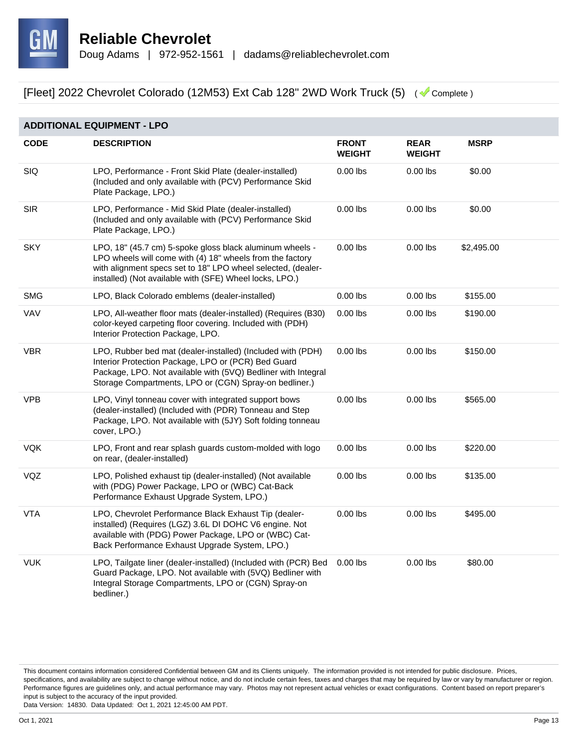

| <b>ADDITIONAL EQUIPMENT - LPO</b> |                                                                                                                                                                                                                                                  |                               |                              |             |  |  |
|-----------------------------------|--------------------------------------------------------------------------------------------------------------------------------------------------------------------------------------------------------------------------------------------------|-------------------------------|------------------------------|-------------|--|--|
| <b>CODE</b>                       | <b>DESCRIPTION</b>                                                                                                                                                                                                                               | <b>FRONT</b><br><b>WEIGHT</b> | <b>REAR</b><br><b>WEIGHT</b> | <b>MSRP</b> |  |  |
| SIQ                               | LPO, Performance - Front Skid Plate (dealer-installed)<br>(Included and only available with (PCV) Performance Skid<br>Plate Package, LPO.)                                                                                                       | $0.00$ lbs                    | $0.00$ lbs                   | \$0.00      |  |  |
| <b>SIR</b>                        | LPO, Performance - Mid Skid Plate (dealer-installed)<br>(Included and only available with (PCV) Performance Skid<br>Plate Package, LPO.)                                                                                                         | $0.00$ lbs                    | $0.00$ lbs                   | \$0.00      |  |  |
| <b>SKY</b>                        | LPO, 18" (45.7 cm) 5-spoke gloss black aluminum wheels -<br>LPO wheels will come with (4) 18" wheels from the factory<br>with alignment specs set to 18" LPO wheel selected, (dealer-<br>installed) (Not available with (SFE) Wheel locks, LPO.) | $0.00$ lbs                    | $0.00$ lbs                   | \$2,495.00  |  |  |
| <b>SMG</b>                        | LPO, Black Colorado emblems (dealer-installed)                                                                                                                                                                                                   | $0.00$ lbs                    | $0.00$ lbs                   | \$155.00    |  |  |
| VAV                               | LPO, All-weather floor mats (dealer-installed) (Requires (B30)<br>color-keyed carpeting floor covering. Included with (PDH)<br>Interior Protection Package, LPO.                                                                                 | $0.00$ lbs                    | $0.00$ lbs                   | \$190.00    |  |  |
| <b>VBR</b>                        | LPO, Rubber bed mat (dealer-installed) (Included with (PDH)<br>Interior Protection Package, LPO or (PCR) Bed Guard<br>Package, LPO. Not available with (5VQ) Bedliner with Integral<br>Storage Compartments, LPO or (CGN) Spray-on bedliner.)    | $0.00$ lbs                    | $0.00$ lbs                   | \$150.00    |  |  |
| <b>VPB</b>                        | LPO, Vinyl tonneau cover with integrated support bows<br>(dealer-installed) (Included with (PDR) Tonneau and Step<br>Package, LPO. Not available with (5JY) Soft folding tonneau<br>cover, LPO.)                                                 | $0.00$ lbs                    | $0.00$ lbs                   | \$565.00    |  |  |
| <b>VQK</b>                        | LPO, Front and rear splash guards custom-molded with logo<br>on rear, (dealer-installed)                                                                                                                                                         | $0.00$ lbs                    | $0.00$ lbs                   | \$220.00    |  |  |
| VQZ                               | LPO, Polished exhaust tip (dealer-installed) (Not available<br>with (PDG) Power Package, LPO or (WBC) Cat-Back<br>Performance Exhaust Upgrade System, LPO.)                                                                                      | $0.00$ lbs                    | $0.00$ lbs                   | \$135.00    |  |  |
| <b>VTA</b>                        | LPO, Chevrolet Performance Black Exhaust Tip (dealer-<br>installed) (Requires (LGZ) 3.6L DI DOHC V6 engine. Not<br>available with (PDG) Power Package, LPO or (WBC) Cat-<br>Back Performance Exhaust Upgrade System, LPO.)                       | $0.00$ lbs                    | $0.00$ lbs                   | \$495.00    |  |  |
| <b>VUK</b>                        | LPO, Tailgate liner (dealer-installed) (Included with (PCR) Bed<br>Guard Package, LPO. Not available with (5VQ) Bedliner with<br>Integral Storage Compartments, LPO or (CGN) Spray-on<br>bedliner.)                                              | $0.00$ lbs                    | $0.00$ lbs                   | \$80.00     |  |  |

This document contains information considered Confidential between GM and its Clients uniquely. The information provided is not intended for public disclosure. Prices, specifications, and availability are subject to change without notice, and do not include certain fees, taxes and charges that may be required by law or vary by manufacturer or region. Performance figures are guidelines only, and actual performance may vary. Photos may not represent actual vehicles or exact configurations. Content based on report preparer's input is subject to the accuracy of the input provided.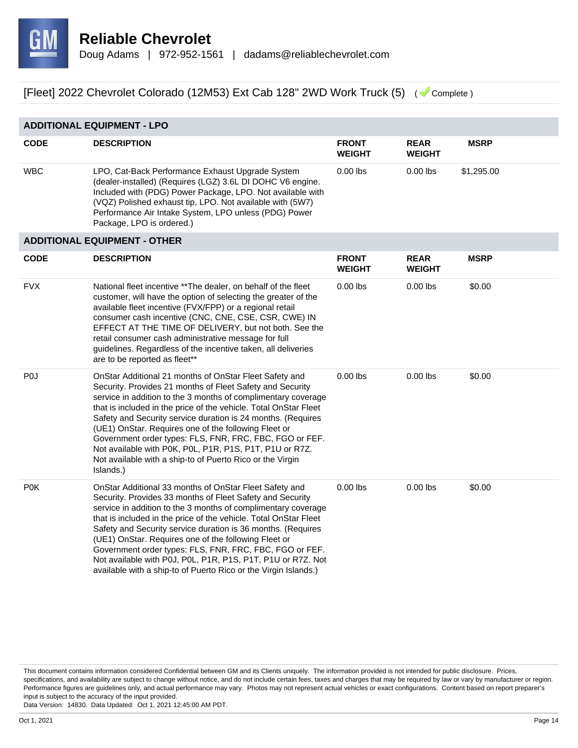

#### **ADDITIONAL EQUIPMENT - LPO CODE DESCRIPTION FRONT WEIGHT REAR WEIGHT MSRP** WBC LPO, Cat-Back Performance Exhaust Upgrade System (dealer-installed) (Requires (LGZ) 3.6L DI DOHC V6 engine. Included with (PDG) Power Package, LPO. Not available with (VQZ) Polished exhaust tip, LPO. Not available with (5W7) Performance Air Intake System, LPO unless (PDG) Power Package, LPO is ordered.) 0.00 lbs 0.00 lbs \$1,295.00

# **ADDITIONAL EQUIPMENT - OTHER**

| <b>CODE</b>      | <b>DESCRIPTION</b>                                                                                                                                                                                                                                                                                                                                                                                                                                                                                                                                                               | <b>FRONT</b><br><b>WEIGHT</b> | <b>REAR</b><br><b>WEIGHT</b> | <b>MSRP</b> |
|------------------|----------------------------------------------------------------------------------------------------------------------------------------------------------------------------------------------------------------------------------------------------------------------------------------------------------------------------------------------------------------------------------------------------------------------------------------------------------------------------------------------------------------------------------------------------------------------------------|-------------------------------|------------------------------|-------------|
| <b>FVX</b>       | National fleet incentive **The dealer, on behalf of the fleet<br>customer, will have the option of selecting the greater of the<br>available fleet incentive (FVX/FPP) or a regional retail<br>consumer cash incentive (CNC, CNE, CSE, CSR, CWE) IN<br>EFFECT AT THE TIME OF DELIVERY, but not both. See the<br>retail consumer cash administrative message for full<br>guidelines. Regardless of the incentive taken, all deliveries<br>are to be reported as fleet**                                                                                                           | $0.00$ lbs                    | $0.00$ lbs                   | \$0.00      |
| P <sub>0</sub>   | OnStar Additional 21 months of OnStar Fleet Safety and<br>Security. Provides 21 months of Fleet Safety and Security<br>service in addition to the 3 months of complimentary coverage<br>that is included in the price of the vehicle. Total OnStar Fleet<br>Safety and Security service duration is 24 months. (Requires<br>(UE1) OnStar. Requires one of the following Fleet or<br>Government order types: FLS, FNR, FRC, FBC, FGO or FEF.<br>Not available with P0K, P0L, P1R, P1S, P1T, P1U or R7Z.<br>Not available with a ship-to of Puerto Rico or the Virgin<br>Islands.) | $0.00$ lbs                    | $0.00$ lbs                   | \$0.00      |
| P <sub>0</sub> K | OnStar Additional 33 months of OnStar Fleet Safety and<br>Security. Provides 33 months of Fleet Safety and Security<br>service in addition to the 3 months of complimentary coverage<br>that is included in the price of the vehicle. Total OnStar Fleet<br>Safety and Security service duration is 36 months. (Requires<br>(UE1) OnStar. Requires one of the following Fleet or<br>Government order types: FLS, FNR, FRC, FBC, FGO or FEF.<br>Not available with P0J, P0L, P1R, P1S, P1T, P1U or R7Z. Not<br>available with a ship-to of Puerto Rico or the Virgin Islands.)    | $0.00$ lbs                    | $0.00$ lbs                   | \$0.00      |

This document contains information considered Confidential between GM and its Clients uniquely. The information provided is not intended for public disclosure. Prices, specifications, and availability are subject to change without notice, and do not include certain fees, taxes and charges that may be required by law or vary by manufacturer or region. Performance figures are guidelines only, and actual performance may vary. Photos may not represent actual vehicles or exact configurations. Content based on report preparer's input is subject to the accuracy of the input provided.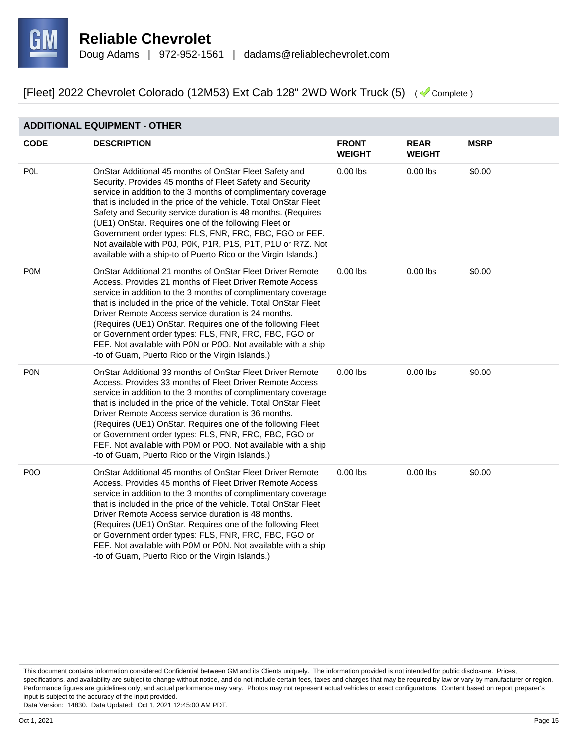

### **ADDITIONAL EQUIPMENT - OTHER**

| <b>CODE</b>      | <b>DESCRIPTION</b>                                                                                                                                                                                                                                                                                                                                                                                                                                                                                                                                                            | <b>FRONT</b><br><b>WEIGHT</b> | <b>REAR</b><br><b>WEIGHT</b> | <b>MSRP</b> |
|------------------|-------------------------------------------------------------------------------------------------------------------------------------------------------------------------------------------------------------------------------------------------------------------------------------------------------------------------------------------------------------------------------------------------------------------------------------------------------------------------------------------------------------------------------------------------------------------------------|-------------------------------|------------------------------|-------------|
| <b>POL</b>       | OnStar Additional 45 months of OnStar Fleet Safety and<br>Security. Provides 45 months of Fleet Safety and Security<br>service in addition to the 3 months of complimentary coverage<br>that is included in the price of the vehicle. Total OnStar Fleet<br>Safety and Security service duration is 48 months. (Requires<br>(UE1) OnStar. Requires one of the following Fleet or<br>Government order types: FLS, FNR, FRC, FBC, FGO or FEF.<br>Not available with P0J, P0K, P1R, P1S, P1T, P1U or R7Z. Not<br>available with a ship-to of Puerto Rico or the Virgin Islands.) | $0.00$ lbs                    | $0.00$ lbs                   | \$0.00      |
| <b>POM</b>       | OnStar Additional 21 months of OnStar Fleet Driver Remote<br>Access. Provides 21 months of Fleet Driver Remote Access<br>service in addition to the 3 months of complimentary coverage<br>that is included in the price of the vehicle. Total OnStar Fleet<br>Driver Remote Access service duration is 24 months.<br>(Requires (UE1) OnStar. Requires one of the following Fleet<br>or Government order types: FLS, FNR, FRC, FBC, FGO or<br>FEF. Not available with P0N or P0O. Not available with a ship<br>-to of Guam, Puerto Rico or the Virgin Islands.)                | $0.00$ lbs                    | $0.00$ lbs                   | \$0.00      |
| <b>PON</b>       | OnStar Additional 33 months of OnStar Fleet Driver Remote<br>Access. Provides 33 months of Fleet Driver Remote Access<br>service in addition to the 3 months of complimentary coverage<br>that is included in the price of the vehicle. Total OnStar Fleet<br>Driver Remote Access service duration is 36 months.<br>(Requires (UE1) OnStar. Requires one of the following Fleet<br>or Government order types: FLS, FNR, FRC, FBC, FGO or<br>FEF. Not available with P0M or P0O. Not available with a ship<br>-to of Guam, Puerto Rico or the Virgin Islands.)                | $0.00$ lbs                    | $0.00$ lbs                   | \$0.00      |
| P <sub>0</sub> O | OnStar Additional 45 months of OnStar Fleet Driver Remote<br>Access, Provides 45 months of Fleet Driver Remote Access<br>service in addition to the 3 months of complimentary coverage<br>that is included in the price of the vehicle. Total OnStar Fleet<br>Driver Remote Access service duration is 48 months.<br>(Requires (UE1) OnStar. Requires one of the following Fleet<br>or Government order types: FLS, FNR, FRC, FBC, FGO or<br>FEF. Not available with P0M or P0N. Not available with a ship<br>-to of Guam, Puerto Rico or the Virgin Islands.)                | $0.00$ lbs                    | $0.00$ lbs                   | \$0.00      |

This document contains information considered Confidential between GM and its Clients uniquely. The information provided is not intended for public disclosure. Prices, specifications, and availability are subject to change without notice, and do not include certain fees, taxes and charges that may be required by law or vary by manufacturer or region. Performance figures are guidelines only, and actual performance may vary. Photos may not represent actual vehicles or exact configurations. Content based on report preparer's input is subject to the accuracy of the input provided.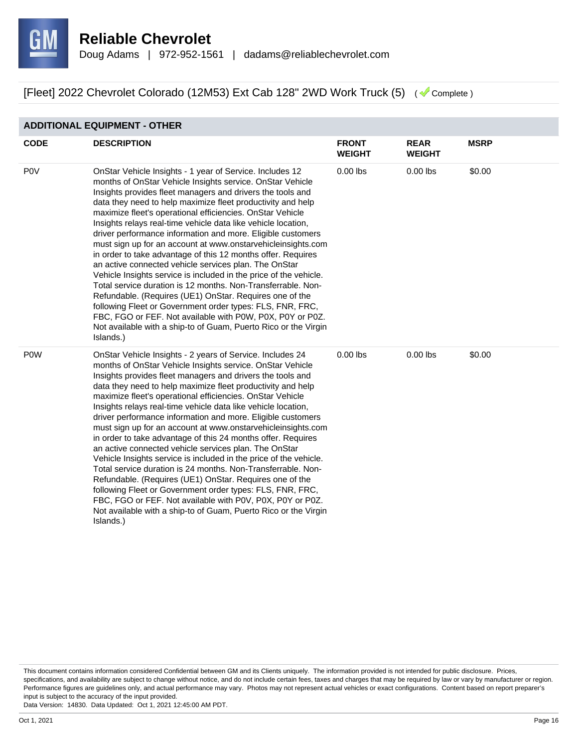

# **ADDITIONAL EQUIPMENT - OTHER**

| <b>CODE</b> | <b>DESCRIPTION</b>                                                                                                                                                                                                                                                                                                                                                                                                                                                                                                                                                                                                                                                                                                                                                                                                                                                                                                                                                                                                                                  | <b>FRONT</b><br><b>WEIGHT</b> | <b>REAR</b><br><b>WEIGHT</b> | <b>MSRP</b> |
|-------------|-----------------------------------------------------------------------------------------------------------------------------------------------------------------------------------------------------------------------------------------------------------------------------------------------------------------------------------------------------------------------------------------------------------------------------------------------------------------------------------------------------------------------------------------------------------------------------------------------------------------------------------------------------------------------------------------------------------------------------------------------------------------------------------------------------------------------------------------------------------------------------------------------------------------------------------------------------------------------------------------------------------------------------------------------------|-------------------------------|------------------------------|-------------|
| <b>POV</b>  | OnStar Vehicle Insights - 1 year of Service. Includes 12<br>months of OnStar Vehicle Insights service. OnStar Vehicle<br>Insights provides fleet managers and drivers the tools and<br>data they need to help maximize fleet productivity and help<br>maximize fleet's operational efficiencies. OnStar Vehicle<br>Insights relays real-time vehicle data like vehicle location,<br>driver performance information and more. Eligible customers<br>must sign up for an account at www.onstarvehicleinsights.com<br>in order to take advantage of this 12 months offer. Requires<br>an active connected vehicle services plan. The OnStar<br>Vehicle Insights service is included in the price of the vehicle.<br>Total service duration is 12 months. Non-Transferrable. Non-<br>Refundable. (Requires (UE1) OnStar. Requires one of the<br>following Fleet or Government order types: FLS, FNR, FRC,<br>FBC, FGO or FEF. Not available with P0W, P0X, P0Y or P0Z.<br>Not available with a ship-to of Guam, Puerto Rico or the Virgin<br>Islands.)  | $0.00$ lbs                    | $0.00$ lbs                   | \$0.00      |
| <b>POW</b>  | OnStar Vehicle Insights - 2 years of Service. Includes 24<br>months of OnStar Vehicle Insights service. OnStar Vehicle<br>Insights provides fleet managers and drivers the tools and<br>data they need to help maximize fleet productivity and help<br>maximize fleet's operational efficiencies. OnStar Vehicle<br>Insights relays real-time vehicle data like vehicle location,<br>driver performance information and more. Eligible customers<br>must sign up for an account at www.onstarvehicleinsights.com<br>in order to take advantage of this 24 months offer. Requires<br>an active connected vehicle services plan. The OnStar<br>Vehicle Insights service is included in the price of the vehicle.<br>Total service duration is 24 months. Non-Transferrable. Non-<br>Refundable. (Requires (UE1) OnStar. Requires one of the<br>following Fleet or Government order types: FLS, FNR, FRC,<br>FBC, FGO or FEF. Not available with P0V, P0X, P0Y or P0Z.<br>Not available with a ship-to of Guam, Puerto Rico or the Virgin<br>Islands.) | $0.00$ lbs                    | $0.00$ lbs                   | \$0.00      |

This document contains information considered Confidential between GM and its Clients uniquely. The information provided is not intended for public disclosure. Prices, specifications, and availability are subject to change without notice, and do not include certain fees, taxes and charges that may be required by law or vary by manufacturer or region. Performance figures are guidelines only, and actual performance may vary. Photos may not represent actual vehicles or exact configurations. Content based on report preparer's input is subject to the accuracy of the input provided.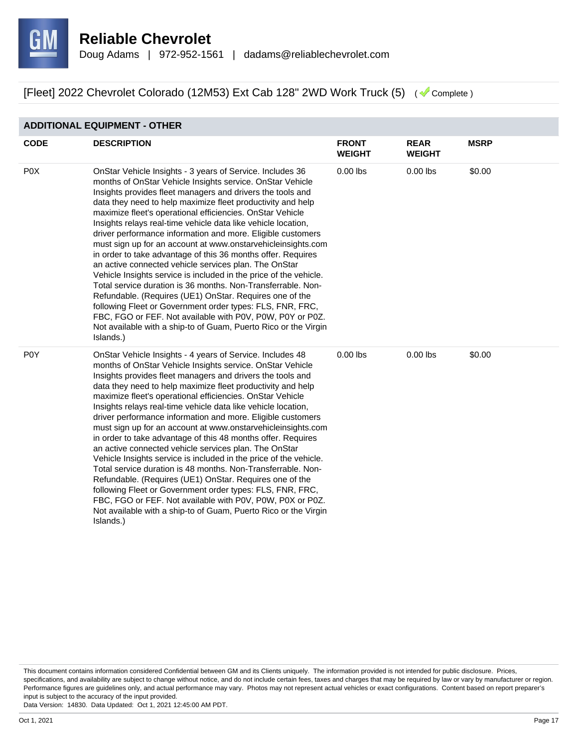

# **ADDITIONAL EQUIPMENT - OTHER**

| <b>CODE</b>      | <b>DESCRIPTION</b>                                                                                                                                                                                                                                                                                                                                                                                                                                                                                                                                                                                                                                                                                                                                                                                                                                                                                                                                                                                                                                  | <b>FRONT</b><br><b>WEIGHT</b> | <b>REAR</b><br><b>WEIGHT</b> | <b>MSRP</b> |
|------------------|-----------------------------------------------------------------------------------------------------------------------------------------------------------------------------------------------------------------------------------------------------------------------------------------------------------------------------------------------------------------------------------------------------------------------------------------------------------------------------------------------------------------------------------------------------------------------------------------------------------------------------------------------------------------------------------------------------------------------------------------------------------------------------------------------------------------------------------------------------------------------------------------------------------------------------------------------------------------------------------------------------------------------------------------------------|-------------------------------|------------------------------|-------------|
| P <sub>0</sub> X | OnStar Vehicle Insights - 3 years of Service. Includes 36<br>months of OnStar Vehicle Insights service. OnStar Vehicle<br>Insights provides fleet managers and drivers the tools and<br>data they need to help maximize fleet productivity and help<br>maximize fleet's operational efficiencies. OnStar Vehicle<br>Insights relays real-time vehicle data like vehicle location,<br>driver performance information and more. Eligible customers<br>must sign up for an account at www.onstarvehicleinsights.com<br>in order to take advantage of this 36 months offer. Requires<br>an active connected vehicle services plan. The OnStar<br>Vehicle Insights service is included in the price of the vehicle.<br>Total service duration is 36 months, Non-Transferrable, Non-<br>Refundable. (Requires (UE1) OnStar. Requires one of the<br>following Fleet or Government order types: FLS, FNR, FRC,<br>FBC, FGO or FEF. Not available with P0V, P0W, P0Y or P0Z.<br>Not available with a ship-to of Guam, Puerto Rico or the Virgin<br>Islands.) | $0.00$ lbs                    | $0.00$ lbs                   | \$0.00      |
| P0Y              | OnStar Vehicle Insights - 4 years of Service. Includes 48<br>months of OnStar Vehicle Insights service. OnStar Vehicle<br>Insights provides fleet managers and drivers the tools and<br>data they need to help maximize fleet productivity and help<br>maximize fleet's operational efficiencies. OnStar Vehicle<br>Insights relays real-time vehicle data like vehicle location,<br>driver performance information and more. Eligible customers<br>must sign up for an account at www.onstarvehicleinsights.com<br>in order to take advantage of this 48 months offer. Requires<br>an active connected vehicle services plan. The OnStar<br>Vehicle Insights service is included in the price of the vehicle.<br>Total service duration is 48 months. Non-Transferrable. Non-<br>Refundable. (Requires (UE1) OnStar. Requires one of the<br>following Fleet or Government order types: FLS, FNR, FRC,<br>FBC, FGO or FEF. Not available with P0V, P0W, P0X or P0Z.<br>Not available with a ship-to of Guam, Puerto Rico or the Virgin<br>Islands.) | $0.00$ lbs                    | $0.00$ lbs                   | \$0.00      |

This document contains information considered Confidential between GM and its Clients uniquely. The information provided is not intended for public disclosure. Prices, specifications, and availability are subject to change without notice, and do not include certain fees, taxes and charges that may be required by law or vary by manufacturer or region. Performance figures are guidelines only, and actual performance may vary. Photos may not represent actual vehicles or exact configurations. Content based on report preparer's input is subject to the accuracy of the input provided.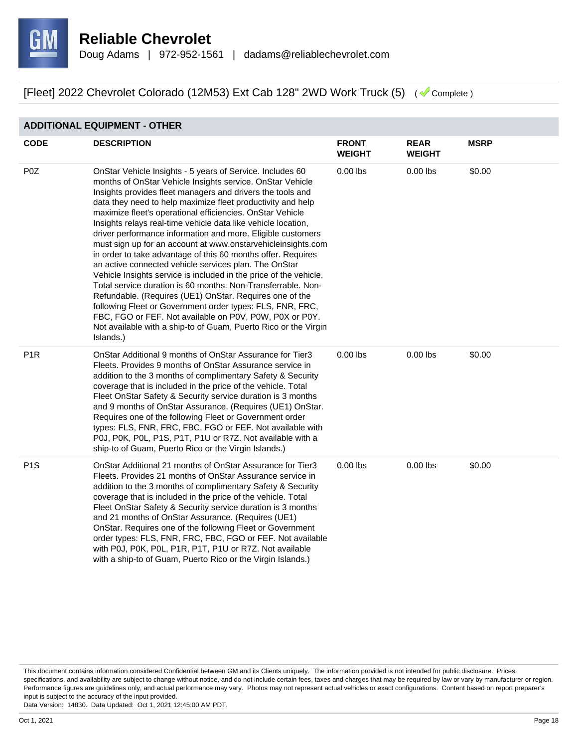

# **ADDITIONAL EQUIPMENT - OTHER**

| <b>CODE</b>      | <b>DESCRIPTION</b>                                                                                                                                                                                                                                                                                                                                                                                                                                                                                                                                                                                                                                                                                                                                                                                                                                                                                                                                                                                                                                | <b>FRONT</b><br><b>WEIGHT</b> | <b>REAR</b><br><b>WEIGHT</b> | <b>MSRP</b> |
|------------------|---------------------------------------------------------------------------------------------------------------------------------------------------------------------------------------------------------------------------------------------------------------------------------------------------------------------------------------------------------------------------------------------------------------------------------------------------------------------------------------------------------------------------------------------------------------------------------------------------------------------------------------------------------------------------------------------------------------------------------------------------------------------------------------------------------------------------------------------------------------------------------------------------------------------------------------------------------------------------------------------------------------------------------------------------|-------------------------------|------------------------------|-------------|
| P <sub>0</sub> Z | OnStar Vehicle Insights - 5 years of Service. Includes 60<br>months of OnStar Vehicle Insights service. OnStar Vehicle<br>Insights provides fleet managers and drivers the tools and<br>data they need to help maximize fleet productivity and help<br>maximize fleet's operational efficiencies. OnStar Vehicle<br>Insights relays real-time vehicle data like vehicle location,<br>driver performance information and more. Eligible customers<br>must sign up for an account at www.onstarvehicleinsights.com<br>in order to take advantage of this 60 months offer. Requires<br>an active connected vehicle services plan. The OnStar<br>Vehicle Insights service is included in the price of the vehicle.<br>Total service duration is 60 months. Non-Transferrable. Non-<br>Refundable. (Requires (UE1) OnStar. Requires one of the<br>following Fleet or Government order types: FLS, FNR, FRC,<br>FBC, FGO or FEF. Not available on P0V, P0W, P0X or P0Y.<br>Not available with a ship-to of Guam, Puerto Rico or the Virgin<br>Islands.) | $0.00$ lbs                    | $0.00$ lbs                   | \$0.00      |
| P <sub>1R</sub>  | OnStar Additional 9 months of OnStar Assurance for Tier3<br>Fleets. Provides 9 months of OnStar Assurance service in<br>addition to the 3 months of complimentary Safety & Security<br>coverage that is included in the price of the vehicle. Total<br>Fleet OnStar Safety & Security service duration is 3 months<br>and 9 months of OnStar Assurance. (Requires (UE1) OnStar.<br>Requires one of the following Fleet or Government order<br>types: FLS, FNR, FRC, FBC, FGO or FEF. Not available with<br>P0J, P0K, P0L, P1S, P1T, P1U or R7Z. Not available with a<br>ship-to of Guam, Puerto Rico or the Virgin Islands.)                                                                                                                                                                                                                                                                                                                                                                                                                      | $0.00$ lbs                    | $0.00$ lbs                   | \$0.00      |
| P <sub>1</sub> S | OnStar Additional 21 months of OnStar Assurance for Tier3<br>Fleets. Provides 21 months of OnStar Assurance service in<br>addition to the 3 months of complimentary Safety & Security<br>coverage that is included in the price of the vehicle. Total<br>Fleet OnStar Safety & Security service duration is 3 months<br>and 21 months of OnStar Assurance. (Requires (UE1)<br>OnStar. Requires one of the following Fleet or Government<br>order types: FLS, FNR, FRC, FBC, FGO or FEF. Not available<br>with P0J, P0K, P0L, P1R, P1T, P1U or R7Z. Not available<br>with a ship-to of Guam, Puerto Rico or the Virgin Islands.)                                                                                                                                                                                                                                                                                                                                                                                                                   | $0.00$ lbs                    | $0.00$ lbs                   | \$0.00      |

This document contains information considered Confidential between GM and its Clients uniquely. The information provided is not intended for public disclosure. Prices, specifications, and availability are subject to change without notice, and do not include certain fees, taxes and charges that may be required by law or vary by manufacturer or region. Performance figures are guidelines only, and actual performance may vary. Photos may not represent actual vehicles or exact configurations. Content based on report preparer's input is subject to the accuracy of the input provided.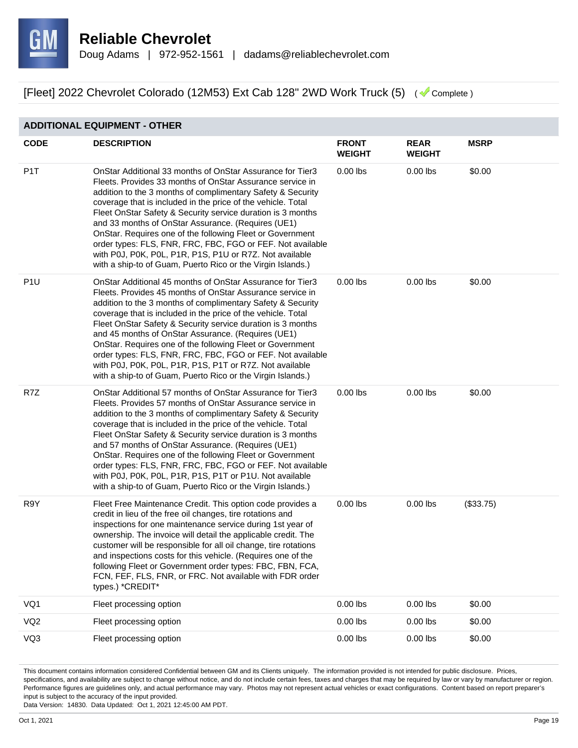

# **ADDITIONAL EQUIPMENT - OTHER**

| <b>CODE</b>      | <b>DESCRIPTION</b>                                                                                                                                                                                                                                                                                                                                                                                                                                                                                                                                                                                                              | <b>FRONT</b><br><b>WEIGHT</b> | <b>REAR</b><br><b>WEIGHT</b> | <b>MSRP</b> |
|------------------|---------------------------------------------------------------------------------------------------------------------------------------------------------------------------------------------------------------------------------------------------------------------------------------------------------------------------------------------------------------------------------------------------------------------------------------------------------------------------------------------------------------------------------------------------------------------------------------------------------------------------------|-------------------------------|------------------------------|-------------|
| P <sub>1</sub> T | OnStar Additional 33 months of OnStar Assurance for Tier3<br>Fleets. Provides 33 months of OnStar Assurance service in<br>addition to the 3 months of complimentary Safety & Security<br>coverage that is included in the price of the vehicle. Total<br>Fleet OnStar Safety & Security service duration is 3 months<br>and 33 months of OnStar Assurance. (Requires (UE1)<br>OnStar. Requires one of the following Fleet or Government<br>order types: FLS, FNR, FRC, FBC, FGO or FEF. Not available<br>with P0J, P0K, P0L, P1R, P1S, P1U or R7Z. Not available<br>with a ship-to of Guam, Puerto Rico or the Virgin Islands.) | $0.00$ lbs                    | $0.00$ lbs                   | \$0.00      |
| P <sub>1U</sub>  | OnStar Additional 45 months of OnStar Assurance for Tier3<br>Fleets. Provides 45 months of OnStar Assurance service in<br>addition to the 3 months of complimentary Safety & Security<br>coverage that is included in the price of the vehicle. Total<br>Fleet OnStar Safety & Security service duration is 3 months<br>and 45 months of OnStar Assurance. (Requires (UE1)<br>OnStar. Requires one of the following Fleet or Government<br>order types: FLS, FNR, FRC, FBC, FGO or FEF. Not available<br>with P0J, P0K, P0L, P1R, P1S, P1T or R7Z. Not available<br>with a ship-to of Guam, Puerto Rico or the Virgin Islands.) | $0.00$ lbs                    | $0.00$ lbs                   | \$0.00      |
| R7Z              | OnStar Additional 57 months of OnStar Assurance for Tier3<br>Fleets. Provides 57 months of OnStar Assurance service in<br>addition to the 3 months of complimentary Safety & Security<br>coverage that is included in the price of the vehicle. Total<br>Fleet OnStar Safety & Security service duration is 3 months<br>and 57 months of OnStar Assurance. (Requires (UE1)<br>OnStar. Requires one of the following Fleet or Government<br>order types: FLS, FNR, FRC, FBC, FGO or FEF. Not available<br>with P0J, P0K, P0L, P1R, P1S, P1T or P1U. Not available<br>with a ship-to of Guam, Puerto Rico or the Virgin Islands.) | $0.00$ lbs                    | $0.00$ lbs                   | \$0.00      |
| R9Y              | Fleet Free Maintenance Credit. This option code provides a<br>credit in lieu of the free oil changes, tire rotations and<br>inspections for one maintenance service during 1st year of<br>ownership. The invoice will detail the applicable credit. The<br>customer will be responsible for all oil change, tire rotations<br>and inspections costs for this vehicle. (Requires one of the<br>following Fleet or Government order types: FBC, FBN, FCA,<br>FCN, FEF, FLS, FNR, or FRC. Not available with FDR order<br>types.) *CREDIT*                                                                                         | $0.00$ lbs                    | $0.00$ lbs                   | (\$33.75)   |
| VQ1              | Fleet processing option                                                                                                                                                                                                                                                                                                                                                                                                                                                                                                                                                                                                         | $0.00$ lbs                    | $0.00$ lbs                   | \$0.00      |
| VQ <sub>2</sub>  | Fleet processing option                                                                                                                                                                                                                                                                                                                                                                                                                                                                                                                                                                                                         | $0.00$ lbs                    | $0.00$ lbs                   | \$0.00      |
| VQ3              | Fleet processing option                                                                                                                                                                                                                                                                                                                                                                                                                                                                                                                                                                                                         | $0.00$ lbs                    | $0.00$ lbs                   | \$0.00      |

This document contains information considered Confidential between GM and its Clients uniquely. The information provided is not intended for public disclosure. Prices, specifications, and availability are subject to change without notice, and do not include certain fees, taxes and charges that may be required by law or vary by manufacturer or region. Performance figures are guidelines only, and actual performance may vary. Photos may not represent actual vehicles or exact configurations. Content based on report preparer's input is subject to the accuracy of the input provided.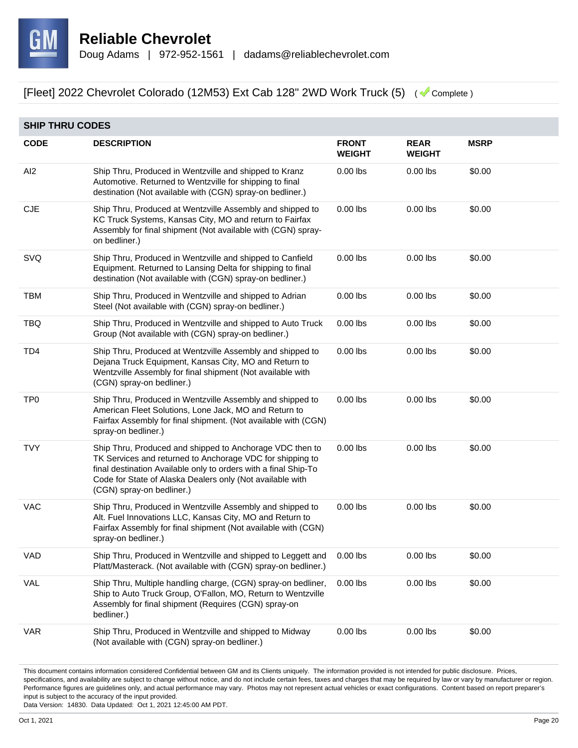

| <b>SHIP THRU CODES</b> |                                                                                                                                                                                                                                                                                    |                               |                              |             |
|------------------------|------------------------------------------------------------------------------------------------------------------------------------------------------------------------------------------------------------------------------------------------------------------------------------|-------------------------------|------------------------------|-------------|
| <b>CODE</b>            | <b>DESCRIPTION</b>                                                                                                                                                                                                                                                                 | <b>FRONT</b><br><b>WEIGHT</b> | <b>REAR</b><br><b>WEIGHT</b> | <b>MSRP</b> |
| Al <sub>2</sub>        | Ship Thru, Produced in Wentzville and shipped to Kranz<br>Automotive. Returned to Wentzville for shipping to final<br>destination (Not available with (CGN) spray-on bedliner.)                                                                                                    | $0.00$ lbs                    | $0.00$ lbs                   | \$0.00      |
| <b>CJE</b>             | Ship Thru, Produced at Wentzville Assembly and shipped to<br>KC Truck Systems, Kansas City, MO and return to Fairfax<br>Assembly for final shipment (Not available with (CGN) spray-<br>on bedliner.)                                                                              | $0.00$ lbs                    | $0.00$ lbs                   | \$0.00      |
| SVQ                    | Ship Thru, Produced in Wentzville and shipped to Canfield<br>Equipment. Returned to Lansing Delta for shipping to final<br>destination (Not available with (CGN) spray-on bedliner.)                                                                                               | $0.00$ lbs                    | $0.00$ lbs                   | \$0.00      |
| <b>TBM</b>             | Ship Thru, Produced in Wentzville and shipped to Adrian<br>Steel (Not available with (CGN) spray-on bedliner.)                                                                                                                                                                     | $0.00$ lbs                    | $0.00$ lbs                   | \$0.00      |
| <b>TBQ</b>             | Ship Thru, Produced in Wentzville and shipped to Auto Truck<br>Group (Not available with (CGN) spray-on bedliner.)                                                                                                                                                                 | $0.00$ lbs                    | $0.00$ lbs                   | \$0.00      |
| TD <sub>4</sub>        | Ship Thru, Produced at Wentzville Assembly and shipped to<br>Dejana Truck Equipment, Kansas City, MO and Return to<br>Wentzville Assembly for final shipment (Not available with<br>(CGN) spray-on bedliner.)                                                                      | $0.00$ lbs                    | $0.00$ lbs                   | \$0.00      |
| TP <sub>0</sub>        | Ship Thru, Produced in Wentzville Assembly and shipped to<br>American Fleet Solutions, Lone Jack, MO and Return to<br>Fairfax Assembly for final shipment. (Not available with (CGN)<br>spray-on bedliner.)                                                                        | $0.00$ lbs                    | $0.00$ lbs                   | \$0.00      |
| <b>TVY</b>             | Ship Thru, Produced and shipped to Anchorage VDC then to<br>TK Services and returned to Anchorage VDC for shipping to<br>final destination Available only to orders with a final Ship-To<br>Code for State of Alaska Dealers only (Not available with<br>(CGN) spray-on bedliner.) | $0.00$ lbs                    | $0.00$ lbs                   | \$0.00      |
| <b>VAC</b>             | Ship Thru, Produced in Wentzville Assembly and shipped to<br>Alt. Fuel Innovations LLC, Kansas City, MO and Return to<br>Fairfax Assembly for final shipment (Not available with (CGN)<br>spray-on bedliner.)                                                                      | $0.00$ lbs                    | $0.00$ lbs                   | \$0.00      |
| VAD                    | Ship Thru, Produced in Wentzville and shipped to Leggett and<br>Platt/Masterack. (Not available with (CGN) spray-on bedliner.)                                                                                                                                                     | $0.00$ lbs                    | $0.00$ lbs                   | \$0.00      |
| VAL                    | Ship Thru, Multiple handling charge, (CGN) spray-on bedliner,<br>Ship to Auto Truck Group, O'Fallon, MO, Return to Wentzville<br>Assembly for final shipment (Requires (CGN) spray-on<br>bedliner.)                                                                                | $0.00$ lbs                    | $0.00$ lbs                   | \$0.00      |
| <b>VAR</b>             | Ship Thru, Produced in Wentzville and shipped to Midway<br>(Not available with (CGN) spray-on bedliner.)                                                                                                                                                                           | $0.00$ lbs                    | $0.00$ lbs                   | \$0.00      |

This document contains information considered Confidential between GM and its Clients uniquely. The information provided is not intended for public disclosure. Prices, specifications, and availability are subject to change without notice, and do not include certain fees, taxes and charges that may be required by law or vary by manufacturer or region. Performance figures are guidelines only, and actual performance may vary. Photos may not represent actual vehicles or exact configurations. Content based on report preparer's input is subject to the accuracy of the input provided.